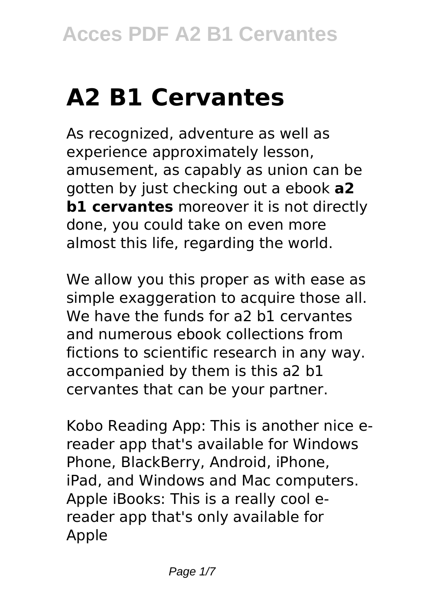# **A2 B1 Cervantes**

As recognized, adventure as well as experience approximately lesson, amusement, as capably as union can be gotten by just checking out a ebook **a2 b1 cervantes** moreover it is not directly done, you could take on even more almost this life, regarding the world.

We allow you this proper as with ease as simple exaggeration to acquire those all. We have the funds for a2 b1 cervantes and numerous ebook collections from fictions to scientific research in any way. accompanied by them is this a2 b1 cervantes that can be your partner.

Kobo Reading App: This is another nice ereader app that's available for Windows Phone, BlackBerry, Android, iPhone, iPad, and Windows and Mac computers. Apple iBooks: This is a really cool ereader app that's only available for Apple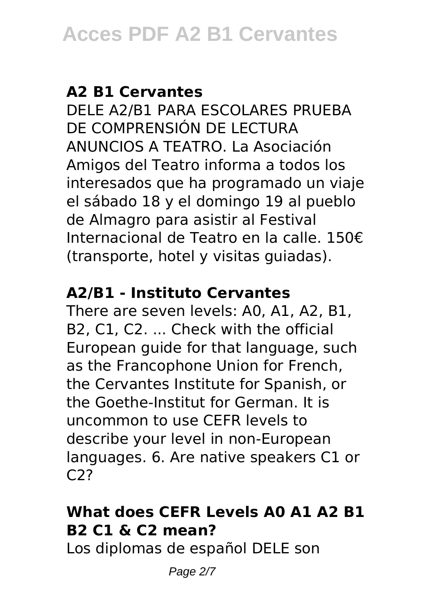#### **A2 B1 Cervantes**

DELE A2/B1 PARA ESCOLARES PRUEBA DE COMPRENSIÓN DE LECTURA ANUNCIOS A TEATRO. La Asociación Amigos del Teatro informa a todos los interesados que ha programado un viaje el sábado 18 y el domingo 19 al pueblo de Almagro para asistir al Festival Internacional de Teatro en la calle. 150€ (transporte, hotel y visitas guiadas).

#### **A2/B1 - Instituto Cervantes**

There are seven levels: A0, A1, A2, B1, B2, C1, C2. ... Check with the official European guide for that language, such as the Francophone Union for French, the Cervantes Institute for Spanish, or the Goethe-Institut for German. It is uncommon to use CEFR levels to describe your level in non-European languages. 6. Are native speakers C1 or C2?

## **What does CEFR Levels A0 A1 A2 B1 B2 C1 & C2 mean?**

Los diplomas de español DELE son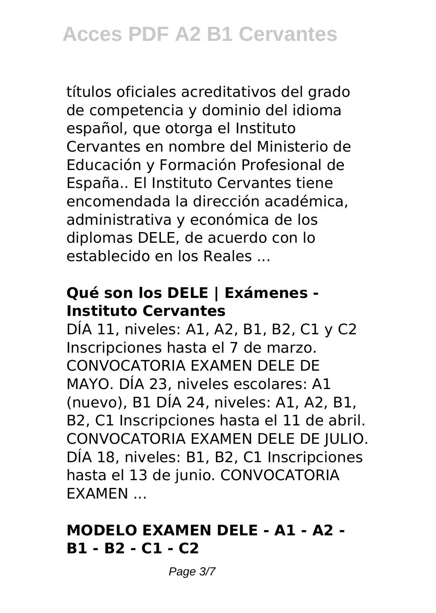títulos oficiales acreditativos del grado de competencia y dominio del idioma español, que otorga el Instituto Cervantes en nombre del Ministerio de Educación y Formación Profesional de España.. El Instituto Cervantes tiene encomendada la dirección académica, administrativa y económica de los diplomas DELE, de acuerdo con lo establecido en los Reales ...

## **Qué son los DELE | Exámenes - Instituto Cervantes**

DÍA 11, niveles: A1, A2, B1, B2, C1 y C2 Inscripciones hasta el 7 de marzo. CONVOCATORIA EXAMEN DELE DE MAYO. DÍA 23, niveles escolares: A1 (nuevo), B1 DÍA 24, niveles: A1, A2, B1, B2, C1 Inscripciones hasta el 11 de abril. CONVOCATORIA EXAMEN DELE DE JULIO. DÍA 18, niveles: B1, B2, C1 Inscripciones hasta el 13 de junio. CONVOCATORIA EXAMEN ...

#### **MODELO EXAMEN DELE - A1 - A2 - B1 - B2 - C1 - C2**

Page 3/7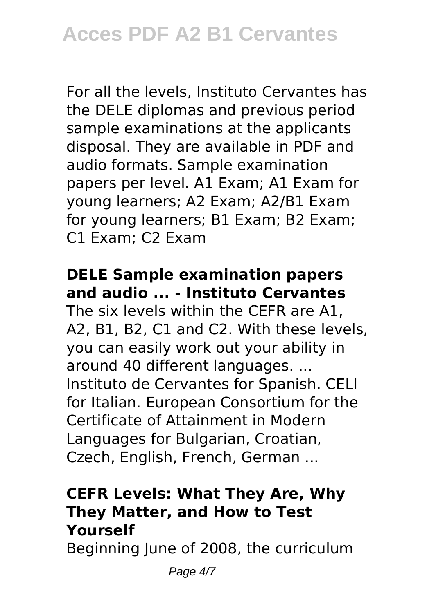For all the levels, Instituto Cervantes has the DELE diplomas and previous period sample examinations at the applicants disposal. They are available in PDF and audio formats. Sample examination papers per level. A1 Exam; A1 Exam for young learners; A2 Exam; A2/B1 Exam for young learners; B1 Exam; B2 Exam; C1 Exam; C2 Exam

## **DELE Sample examination papers and audio ... - Instituto Cervantes**

The six levels within the CEFR are A1, A2, B1, B2, C1 and C2. With these levels, you can easily work out your ability in around 40 different languages. ... Instituto de Cervantes for Spanish. CELI for Italian. European Consortium for the Certificate of Attainment in Modern Languages for Bulgarian, Croatian, Czech, English, French, German ...

## **CEFR Levels: What They Are, Why They Matter, and How to Test Yourself**

Beginning June of 2008, the curriculum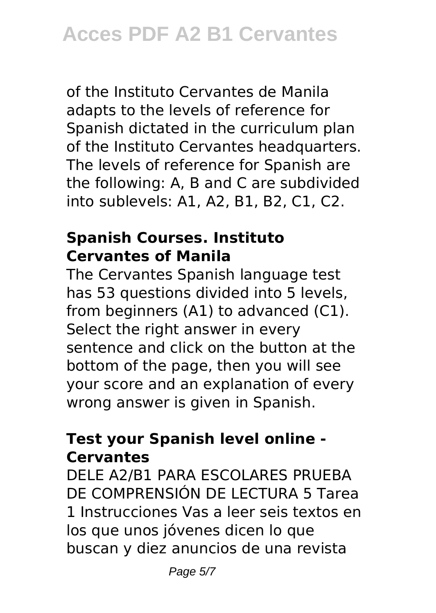of the Instituto Cervantes de Manila adapts to the levels of reference for Spanish dictated in the curriculum plan of the Instituto Cervantes headquarters. The levels of reference for Spanish are the following: A, B and C are subdivided into sublevels: A1, A2, B1, B2, C1, C2.

#### **Spanish Courses. Instituto Cervantes of Manila**

The Cervantes Spanish language test has 53 questions divided into 5 levels, from beginners (A1) to advanced (C1). Select the right answer in every sentence and click on the button at the bottom of the page, then you will see your score and an explanation of every wrong answer is given in Spanish.

## **Test your Spanish level online - Cervantes**

DELE A2/B1 PARA ESCOLARES PRUEBA DE COMPRENSIÓN DE LECTURA 5 Tarea 1 Instrucciones Vas a leer seis textos en los que unos jóvenes dicen lo que buscan y diez anuncios de una revista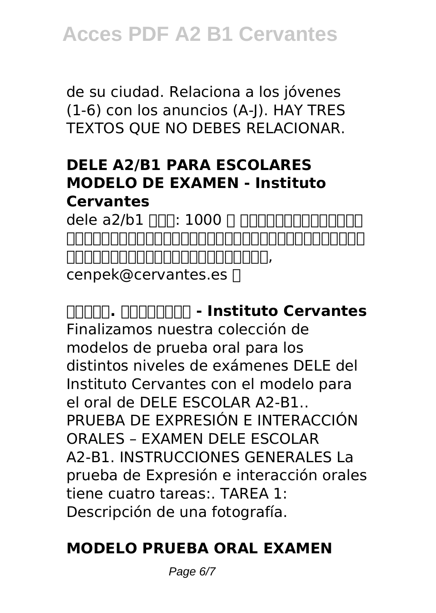de su ciudad. Relaciona a los jóvenes (1-6) con los anuncios (A-J). HAY TRES TEXTOS QUE NO DEBES RELACIONAR.

## **DELE A2/B1 PARA ESCOLARES MODELO DE EXAMEN - Instituto Cervantes**

dele a $2/b1$   $\Box$  $\Box$ : 1000  $\Box$   $\Box$  $\Box$  $\Box$  $\Box$  $\Box$  $\Box$  $\Box$  $\Box$ 。笔试日期固定不可更改。基于考生数量的考量,塞万提斯学院保留延长考生 <u>nanananananan, mandanan</u>, cenpek@cervantes.es [

**时间和费用. 北京塞万提斯学院 - Instituto Cervantes** Finalizamos nuestra colección de modelos de prueba oral para los distintos niveles de exámenes DELE del Instituto Cervantes con el modelo para el oral de DELE ESCOLAR A2-B1.. PRUEBA DE EXPRESIÓN E INTERACCIÓN ORALES – EXAMEN DELE ESCOLAR A2-B1. INSTRUCCIONES GENERALES La prueba de Expresión e interacción orales tiene cuatro tareas:. TAREA 1: Descripción de una fotografía.

## **MODELO PRUEBA ORAL EXAMEN**

Page 6/7